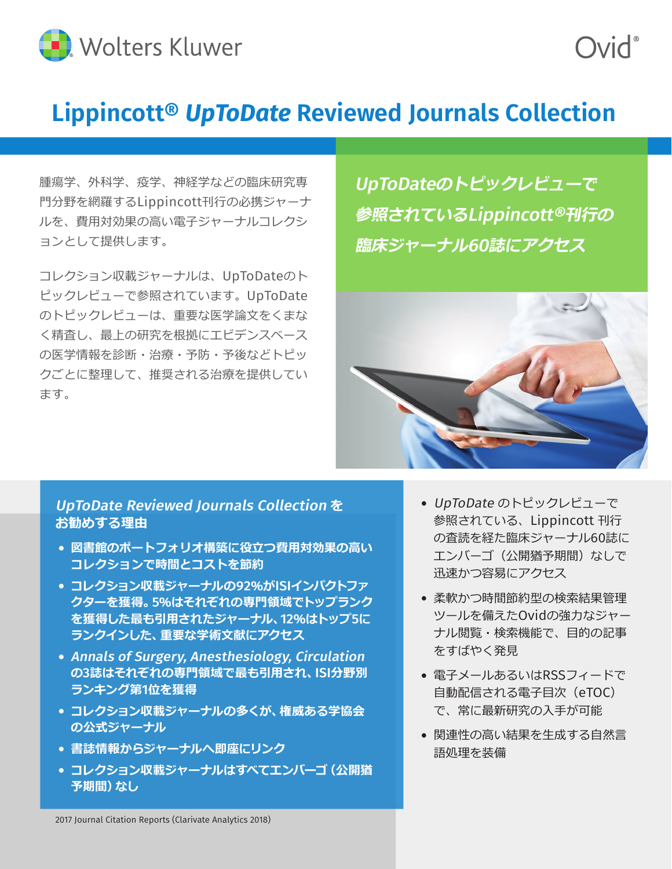

## **Lippincott®** *UpToDate* **Reviewed Journals Collection**

腫瘍学、外科学、疫学、神経学などの臨床研究専 門分野を網羅するLippincott刊行の必携ジャーナ ルを、費用対効果の高い電子ジャーナルコレクシ ョンとして提供します。

コレクション収載ジャーナルは、UpToDateのト ピックレビューで参照されています。UpToDate のトピックレビューは、重要な医学論文をくまな く精査し、最上の研究を根拠にエビデンスベース の医学情報を診断・治療・予防・予後などトピッ クごとに整理して、推奨される治療を提供してい ます。

UpToDate**のトピックレビューで 参照されている**Lippincott®**刊行の 臨床ジャーナル**60**誌にアクセス**

**DivC** 



## UpToDate Reviewed Journals Collection **を お勧めする理由**

- **・ 図書館のポートフォリオ構築に役立つ費用対効果の高い コレクションで時間とコストを節約**
- **・ コレクション収載ジャーナルの**92**%が**ISI**インパクトファ クターを獲得。**5**%はそれぞれの専門領域でトップランク を獲得した最も引用されたジャーナル、**12**%はトップ**5**に ランクインした、重要な学術文献にアクセス**
- **・** Annals of Surgery, Anesthesiology, Circulation **の**3**誌はそれぞれの専門領域で最も引用され、**ISI**分野別 ランキング第**1**位を獲得**
- **・ コレクション収載ジャーナルの多くが、権威ある学協会 の公式ジャーナル**
- **・ 書誌情報からジャーナルへ即座にリンク**
- **・ コレクション収載ジャーナルはすべてエンバーゴ(公開猶 予期間)なし**
- ・ UpToDate のトピックレビューで 参照されている、Lippincott 刊行 の査読を経た臨床ジャーナル60誌に エンバーゴ (公開猶予期間) なしで 迅速かつ容易にアクセス
- ・ 柔軟かつ時間節約型の検索結果管理 ツールを備えたOvidの強力なジャー ナル閲覧・検索機能で、目的の記事 をすばやく発見
- ・ 電子メールあるいはRSSフィードで 自動配信される電子目次(eTOC) で、常に最新研究の入手が可能
- ・ 関連性の高い結果を生成する自然言 語処理を装備